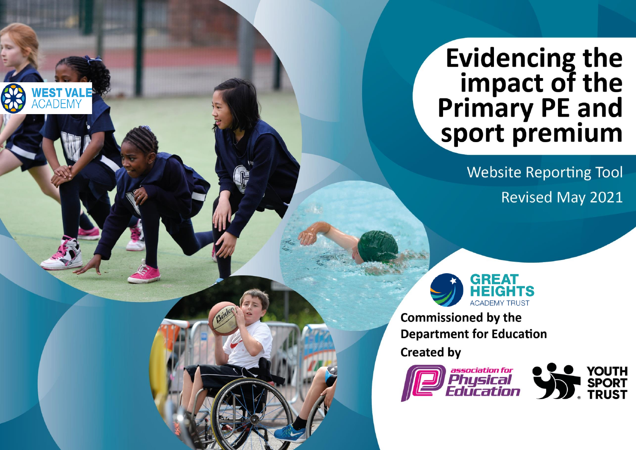## **Evidencing the** impact of the<br>Primary PE and sport premium

**Website Reporting Tool Revised May 2021** 



**Commissioned by the Department for Education** 

**Created by** 

WEST VAL<br>Academy



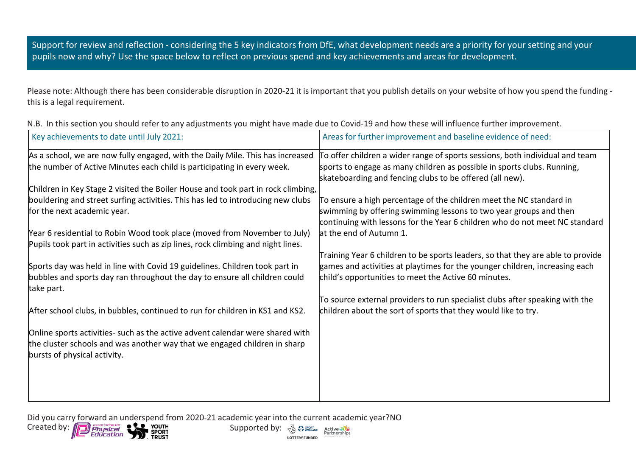Support for review and reflection - considering the 5 key indicators from DfE, what development needs are a priority for your setting and your pupils now and why? Use the space below to reflect on previous spend and key achievements and areas for development.

Please note: Although there has been considerable disruption in 2020-21 it is important that you publish details on your website of how you spend the funding this is a legal requirement.

| Key achievements to date until July 2021:                                                | Areas for further improvement and baseline evidence of need:                    |
|------------------------------------------------------------------------------------------|---------------------------------------------------------------------------------|
| As a school, we are now fully engaged, with the Daily Mile. This has increased           | To offer children a wider range of sports sessions, both individual and team    |
| the number of Active Minutes each child is participating in every week.                  | sports to engage as many children as possible in sports clubs. Running,         |
|                                                                                          | skateboarding and fencing clubs to be offered (all new).                        |
| Children in Key Stage 2 visited the Boiler House and took part in rock climbing,         |                                                                                 |
| bouldering and street surfing activities. This has led to introducing new clubs          | To ensure a high percentage of the children meet the NC standard in             |
| for the next academic year.                                                              | swimming by offering swimming lessons to two year groups and then               |
|                                                                                          | continuing with lessons for the Year 6 children who do not meet NC standard     |
| Year 6 residential to Robin Wood took place (moved from November to July)                | at the end of Autumn 1.                                                         |
| Pupils took part in activities such as zip lines, rock climbing and night lines.         |                                                                                 |
|                                                                                          | Training Year 6 children to be sports leaders, so that they are able to provide |
| Sports day was held in line with Covid 19 guidelines. Children took part in              | games and activities at playtimes for the younger children, increasing each     |
| bubbles and sports day ran throughout the day to ensure all children could<br>take part. | child's opportunities to meet the Active 60 minutes.                            |
|                                                                                          | To source external providers to run specialist clubs after speaking with the    |
| After school clubs, in bubbles, continued to run for children in KS1 and KS2.            | children about the sort of sports that they would like to try.                  |
|                                                                                          |                                                                                 |
| Online sports activities- such as the active advent calendar were shared with            |                                                                                 |
| the cluster schools and was another way that we engaged children in sharp                |                                                                                 |
| bursts of physical activity.                                                             |                                                                                 |
|                                                                                          |                                                                                 |
|                                                                                          |                                                                                 |
|                                                                                          |                                                                                 |
|                                                                                          |                                                                                 |

**LOTTERY FUNDED** 

N.B. In this section you should refer to any adjustments you might have made due to Covid-19 and how these will influence further improvement.

Did you carry forward an underspend from 2020-21 academic year into the current academic year?NO<br>Created by:  $\sqrt{2}$  Phusical  $\sqrt{2}$  Youth Supported by:  $\sqrt{2}$   $\approx$   $\frac{2}{2}$  Active Created by: **Supported by:** Supported by: Active 3/2

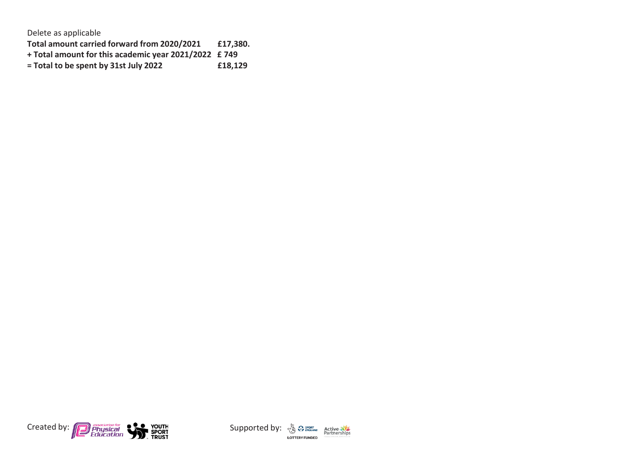Delete as applicable

**Total amount carried forward from 2020/2021 £17,380.**

- 
- **+ Total amount for this academic year 2021/2022 £ 749**  $=$  **Total to be spent by 31st July 2022**



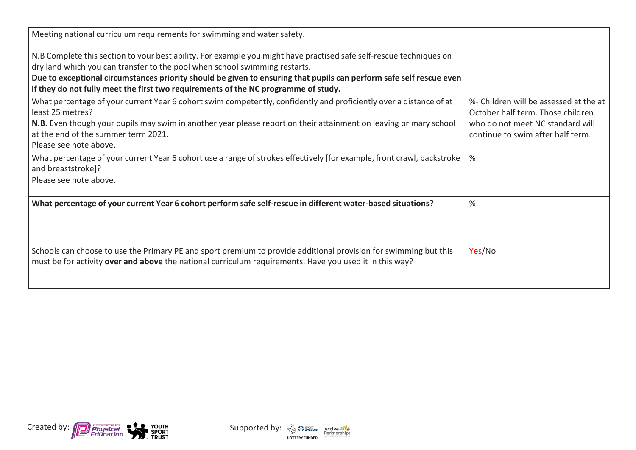| Meeting national curriculum requirements for swimming and water safety.                                                                                                                                                     |                                                                             |
|-----------------------------------------------------------------------------------------------------------------------------------------------------------------------------------------------------------------------------|-----------------------------------------------------------------------------|
| N.B Complete this section to your best ability. For example you might have practised safe self-rescue techniques on                                                                                                         |                                                                             |
| dry land which you can transfer to the pool when school swimming restarts.                                                                                                                                                  |                                                                             |
| Due to exceptional circumstances priority should be given to ensuring that pupils can perform safe self rescue even<br>if they do not fully meet the first two requirements of the NC programme of study.                   |                                                                             |
| What percentage of your current Year 6 cohort swim competently, confidently and proficiently over a distance of at<br>least 25 metres?                                                                                      | %- Children will be assessed at the at<br>October half term. Those children |
| N.B. Even though your pupils may swim in another year please report on their attainment on leaving primary school                                                                                                           | who do not meet NC standard will                                            |
| at the end of the summer term 2021.                                                                                                                                                                                         | continue to swim after half term.                                           |
| Please see note above.                                                                                                                                                                                                      |                                                                             |
| What percentage of your current Year 6 cohort use a range of strokes effectively [for example, front crawl, backstroke<br>and breaststroke]?                                                                                | %                                                                           |
| Please see note above.                                                                                                                                                                                                      |                                                                             |
| What percentage of your current Year 6 cohort perform safe self-rescue in different water-based situations?                                                                                                                 | %                                                                           |
|                                                                                                                                                                                                                             |                                                                             |
|                                                                                                                                                                                                                             |                                                                             |
| Schools can choose to use the Primary PE and sport premium to provide additional provision for swimming but this<br>must be for activity over and above the national curriculum requirements. Have you used it in this way? | Yes/No                                                                      |
|                                                                                                                                                                                                                             |                                                                             |



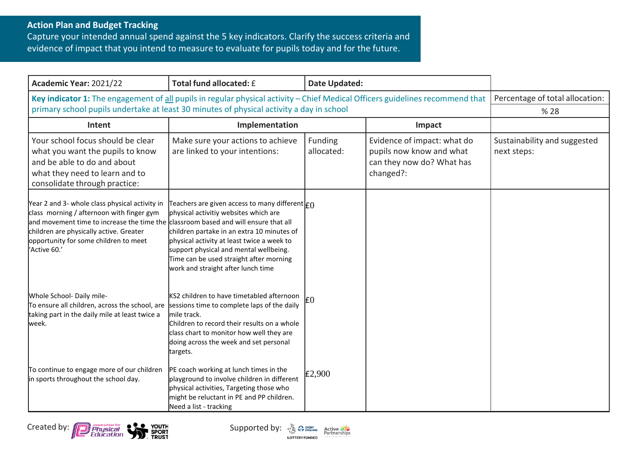## **Action Plan and Budget Tracking**

Capture your intended annual spend against the 5 key indicators. Clarify the success criteria and evidence of impact that you intend to measure to evaluate for pupils today and for the future.

| Academic Year: 2021/22                                                                                                                                                                                                                                                                 | Total fund allocated: £                                                                                                                                                                                                                                                                                                                 | <b>Date Updated:</b>  |                                                                                                   |                                             |
|----------------------------------------------------------------------------------------------------------------------------------------------------------------------------------------------------------------------------------------------------------------------------------------|-----------------------------------------------------------------------------------------------------------------------------------------------------------------------------------------------------------------------------------------------------------------------------------------------------------------------------------------|-----------------------|---------------------------------------------------------------------------------------------------|---------------------------------------------|
| Key indicator 1: The engagement of all pupils in regular physical activity - Chief Medical Officers guidelines recommend that<br>primary school pupils undertake at least 30 minutes of physical activity a day in school                                                              |                                                                                                                                                                                                                                                                                                                                         |                       | Percentage of total allocation:<br>% 28                                                           |                                             |
| Intent                                                                                                                                                                                                                                                                                 | Implementation                                                                                                                                                                                                                                                                                                                          |                       | Impact                                                                                            |                                             |
| Your school focus should be clear<br>what you want the pupils to know<br>and be able to do and about<br>what they need to learn and to<br>consolidate through practice:                                                                                                                | Make sure your actions to achieve<br>are linked to your intentions:                                                                                                                                                                                                                                                                     | Funding<br>allocated: | Evidence of impact: what do<br>pupils now know and what<br>can they now do? What has<br>changed?: | Sustainability and suggested<br>next steps: |
| Year 2 and 3- whole class physical activity in<br>class morning / afternoon with finger gym<br>and movement time to increase the time the classroom based and will ensure that all<br>children are physically active. Greater<br>opportunity for some children to meet<br>'Active 60.' | Teachers are given access to many different $\vert_{\mathsf{f}\bigcap}$<br>physical activitiy websites which are<br>children partake in an extra 10 minutes of<br>physical activity at least twice a week to<br>support physical and mental wellbeing.<br>Time can be used straight after morning<br>work and straight after lunch time |                       |                                                                                                   |                                             |
| Whole School- Daily mile-<br>To ensure all children, across the school, are<br>taking part in the daily mile at least twice a<br>week.                                                                                                                                                 | KS2 children to have timetabled afternoon<br>sessions time to complete laps of the daily<br>mile track.<br>Children to record their results on a whole<br>class chart to monitor how well they are<br>doing across the week and set personal<br>targets.                                                                                | E0                    |                                                                                                   |                                             |
| To continue to engage more of our children<br>in sports throughout the school day.                                                                                                                                                                                                     | PE coach working at lunch times in the<br>playground to involve children in different<br>physical activities, Targeting those who<br>might be reluctant in PE and PP children.<br>Need a list - tracking                                                                                                                                | £2,900                |                                                                                                   |                                             |





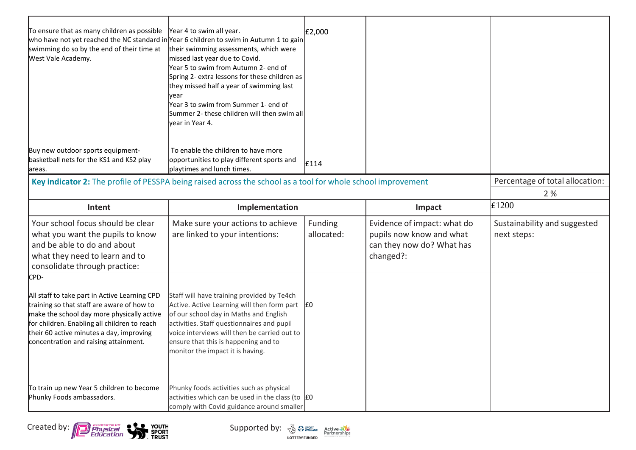| To ensure that as many children as possible<br>who have not yet reached the NC standard in Year 6 children to swim in Autumn 1 to gain<br>swimming do so by the end of their time at<br>West Vale Academy. | Year 4 to swim all year.<br>their swimming assessments, which were<br>missed last year due to Covid.<br>Year 5 to swim from Autumn 2- end of<br>Spring 2- extra lessons for these children as<br>they missed half a year of swimming last<br>vear<br>Year 3 to swim from Summer 1- end of<br>Summer 2- these children will then swim all<br>vear in Year 4. | £2,000                |                                                                                                   |                                             |
|------------------------------------------------------------------------------------------------------------------------------------------------------------------------------------------------------------|-------------------------------------------------------------------------------------------------------------------------------------------------------------------------------------------------------------------------------------------------------------------------------------------------------------------------------------------------------------|-----------------------|---------------------------------------------------------------------------------------------------|---------------------------------------------|
| Buy new outdoor sports equipment-<br>basketball nets for the KS1 and KS2 play<br>areas.                                                                                                                    | To enable the children to have more<br>opportunities to play different sports and<br>playtimes and lunch times.                                                                                                                                                                                                                                             | £114                  |                                                                                                   |                                             |
| Key indicator 2: The profile of PESSPA being raised across the school as a tool for whole school improvement                                                                                               |                                                                                                                                                                                                                                                                                                                                                             |                       |                                                                                                   | Percentage of total allocation:             |
|                                                                                                                                                                                                            |                                                                                                                                                                                                                                                                                                                                                             |                       |                                                                                                   | 2 %                                         |
| Intent                                                                                                                                                                                                     | Implementation                                                                                                                                                                                                                                                                                                                                              |                       | Impact                                                                                            | £1200                                       |
| Your school focus should be clear<br>what you want the pupils to know<br>and be able to do and about<br>what they need to learn and to<br>consolidate through practice:                                    | Make sure your actions to achieve<br>are linked to your intentions:                                                                                                                                                                                                                                                                                         | Funding<br>allocated: | Evidence of impact: what do<br>pupils now know and what<br>can they now do? What has<br>changed?: | Sustainability and suggested<br>next steps: |
| CPD-                                                                                                                                                                                                       |                                                                                                                                                                                                                                                                                                                                                             |                       |                                                                                                   |                                             |
| All staff to take part in Active Learning CPD<br>training so that staff are aware of how to                                                                                                                | Staff will have training provided by Te4ch<br>Active. Active Learning will then form part                                                                                                                                                                                                                                                                   | ١£٥                   |                                                                                                   |                                             |
| make the school day more physically active<br>for children. Enabling all children to reach<br>their 60 active minutes a day, improving<br>concentration and raising attainment.                            | of our school day in Maths and English<br>activities. Staff questionnaires and pupil<br>voice interviews will then be carried out to<br>ensure that this is happening and to<br>monitor the impact it is having.                                                                                                                                            |                       |                                                                                                   |                                             |





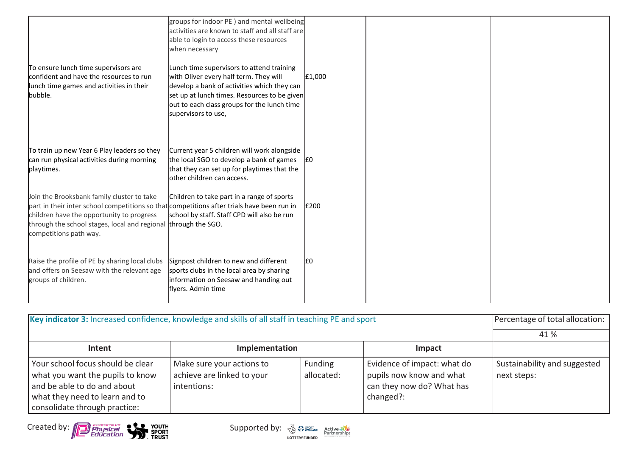| To ensure lunch time supervisors are<br>confident and have the resources to run<br>lunch time games and activities in their<br>bubble.                                                                                                                                            | groups for indoor PE) and mental wellbeing<br>activities are known to staff and all staff are<br>able to login to access these resources<br>when necessary<br>Lunch time supervisors to attend training<br>with Oliver every half term. They will<br>develop a bank of activities which they can<br>set up at lunch times. Resources to be given<br>out to each class groups for the lunch time<br>supervisors to use, | £1,000 |  |
|-----------------------------------------------------------------------------------------------------------------------------------------------------------------------------------------------------------------------------------------------------------------------------------|------------------------------------------------------------------------------------------------------------------------------------------------------------------------------------------------------------------------------------------------------------------------------------------------------------------------------------------------------------------------------------------------------------------------|--------|--|
| To train up new Year 6 Play leaders so they<br>can run physical activities during morning<br>playtimes.                                                                                                                                                                           | Current year 5 children will work alongside<br>the local SGO to develop a bank of games<br>that they can set up for playtimes that the<br>other children can access.                                                                                                                                                                                                                                                   | ١£٥    |  |
| Join the Brooksbank family cluster to take<br>part in their inter school competitions so that competitions after trials have been run in<br>children have the opportunity to progress<br>through the school stages, local and regional through the SGO.<br>competitions path way. | Children to take part in a range of sports<br>school by staff. Staff CPD will also be run                                                                                                                                                                                                                                                                                                                              | £200   |  |
| Raise the profile of PE by sharing local clubs<br>and offers on Seesaw with the relevant age<br>groups of children.                                                                                                                                                               | Signpost children to new and different<br>sports clubs in the local area by sharing<br>information on Seesaw and handing out<br>flyers. Admin time                                                                                                                                                                                                                                                                     | I£0    |  |

| Key indicator 3: Increased confidence, knowledge and skills of all staff in teaching PE and sport                                                                       |                                                                        |                       |                                                                                                   | Percentage of total allocation:             |
|-------------------------------------------------------------------------------------------------------------------------------------------------------------------------|------------------------------------------------------------------------|-----------------------|---------------------------------------------------------------------------------------------------|---------------------------------------------|
|                                                                                                                                                                         |                                                                        |                       |                                                                                                   | 41 %                                        |
| Intent                                                                                                                                                                  | Implementation                                                         |                       | Impact                                                                                            |                                             |
| Your school focus should be clear<br>what you want the pupils to know<br>and be able to do and about<br>what they need to learn and to<br>consolidate through practice: | Make sure your actions to<br>achieve are linked to your<br>intentions: | Funding<br>allocated: | Evidence of impact: what do<br>pupils now know and what<br>can they now do? What has<br>changed?: | Sustainability and suggested<br>next steps: |



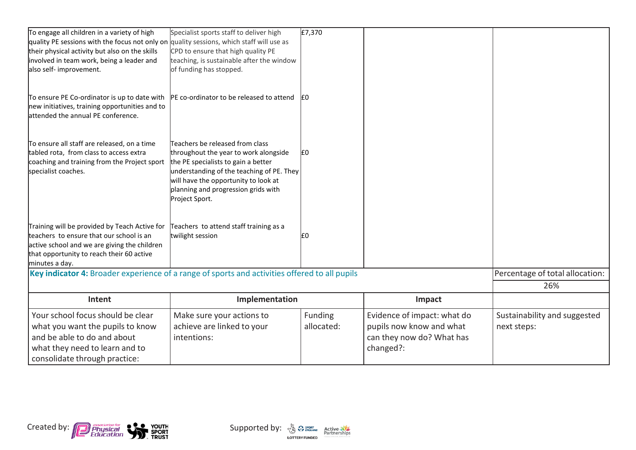| To engage all children in a variety of high                                                                                                                                                              | Specialist sports staff to deliver high                                                                                                                                                                                                                       | £7,370     |                             |                                 |
|----------------------------------------------------------------------------------------------------------------------------------------------------------------------------------------------------------|---------------------------------------------------------------------------------------------------------------------------------------------------------------------------------------------------------------------------------------------------------------|------------|-----------------------------|---------------------------------|
| quality PE sessions with the focus not only on quality sessions, which staff will use as                                                                                                                 |                                                                                                                                                                                                                                                               |            |                             |                                 |
| their physical activity but also on the skills<br>involved in team work, being a leader and                                                                                                              | CPD to ensure that high quality PE<br>teaching, is sustainable after the window                                                                                                                                                                               |            |                             |                                 |
| also self- improvement.                                                                                                                                                                                  | of funding has stopped.                                                                                                                                                                                                                                       |            |                             |                                 |
|                                                                                                                                                                                                          |                                                                                                                                                                                                                                                               |            |                             |                                 |
| To ensure PE Co-ordinator is up to date with<br>new initiatives, training opportunities and to<br>attended the annual PE conference.                                                                     | PE co-ordinator to be released to attend                                                                                                                                                                                                                      | I£0        |                             |                                 |
| To ensure all staff are released, on a time<br>tabled rota, from class to access extra<br>coaching and training from the Project sport<br>specialist coaches.                                            | Teachers be released from class<br>throughout the year to work alongside<br>the PE specialists to gain a better<br>understanding of the teaching of PE. They<br>will have the opportunity to look at<br>planning and progression grids with<br>Project Sport. | £0         |                             |                                 |
| Training will be provided by Teach Active for<br>teachers to ensure that our school is an<br>active school and we are giving the children<br>that opportunity to reach their 60 active<br>minutes a day. | Teachers to attend staff training as a<br>twilight session                                                                                                                                                                                                    | I£0        |                             |                                 |
| Key indicator 4: Broader experience of a range of sports and activities offered to all pupils                                                                                                            |                                                                                                                                                                                                                                                               |            |                             | Percentage of total allocation: |
|                                                                                                                                                                                                          |                                                                                                                                                                                                                                                               |            |                             | 26%                             |
| Intent                                                                                                                                                                                                   | Implementation                                                                                                                                                                                                                                                |            | Impact                      |                                 |
| Your school focus should be clear                                                                                                                                                                        | Make sure your actions to                                                                                                                                                                                                                                     | Funding    | Evidence of impact: what do | Sustainability and suggested    |
| what you want the pupils to know                                                                                                                                                                         | achieve are linked to your                                                                                                                                                                                                                                    | allocated: | pupils now know and what    | next steps:                     |
| and be able to do and about                                                                                                                                                                              |                                                                                                                                                                                                                                                               |            |                             |                                 |
|                                                                                                                                                                                                          | intentions:                                                                                                                                                                                                                                                   |            | can they now do? What has   |                                 |
| what they need to learn and to                                                                                                                                                                           |                                                                                                                                                                                                                                                               |            | changed?:                   |                                 |



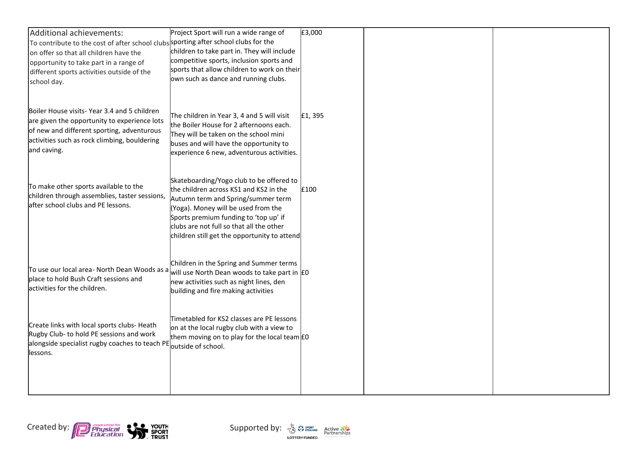| Additional achievements:                                                                                                      | Project Sport will run a wide range of                                                  | £3,000  |  |
|-------------------------------------------------------------------------------------------------------------------------------|-----------------------------------------------------------------------------------------|---------|--|
| To contribute to the cost of after school clubs sporting after school clubs for the<br>on offer so that all children have the | children to take part in. They will include                                             |         |  |
| opportunity to take part in a range of                                                                                        | competitive sports, inclusion sports and                                                |         |  |
| different sports activities outside of the                                                                                    | sports that allow children to work on their                                             |         |  |
| school day.                                                                                                                   | own such as dance and running clubs.                                                    |         |  |
|                                                                                                                               |                                                                                         |         |  |
| Boiler House visits-Year 3.4 and 5 children                                                                                   |                                                                                         |         |  |
| are given the opportunity to experience lots                                                                                  | The children in Year 3, 4 and 5 will visit<br>the Boiler House for 2 afternoons each.   | £1, 395 |  |
| of new and different sporting, adventurous                                                                                    | They will be taken on the school mini                                                   |         |  |
| activities such as rock climbing, bouldering                                                                                  | buses and will have the opportunity to                                                  |         |  |
| and caving.                                                                                                                   | experience 6 new, adventurous activities.                                               |         |  |
|                                                                                                                               |                                                                                         |         |  |
|                                                                                                                               | Skateboarding/Yogo club to be offered to                                                |         |  |
| To make other sports available to the<br>children through assemblies, taster sessions,                                        | the children across KS1 and KS2 in the                                                  | £100    |  |
| after school clubs and PE lessons.                                                                                            | Autumn term and Spring/summer term<br>(Yoga). Money will be used from the               |         |  |
|                                                                                                                               | Sports premium funding to 'top up' if                                                   |         |  |
|                                                                                                                               | clubs are not full so that all the other                                                |         |  |
|                                                                                                                               | children still get the opportunity to attend                                            |         |  |
|                                                                                                                               |                                                                                         |         |  |
| To use our local area- North Dean Woods as a                                                                                  | Children in the Spring and Summer terms                                                 |         |  |
| place to hold Bush Craft sessions and                                                                                         | will use North Dean woods to take part in E0<br>new activities such as night lines, den |         |  |
| activities for the children.                                                                                                  | building and fire making activities                                                     |         |  |
|                                                                                                                               |                                                                                         |         |  |
|                                                                                                                               | Timetabled for KS2 classes are PE lessons                                               |         |  |
| Create links with local sports clubs- Heath                                                                                   | on at the local rugby club with a view to                                               |         |  |
| Rugby Club- to hold PE sessions and work<br>alongside specialist rugby coaches to teach PE outside of school.                 | them moving on to play for the local team EO                                            |         |  |
| lessons.                                                                                                                      |                                                                                         |         |  |
|                                                                                                                               |                                                                                         |         |  |
|                                                                                                                               |                                                                                         |         |  |
|                                                                                                                               |                                                                                         |         |  |

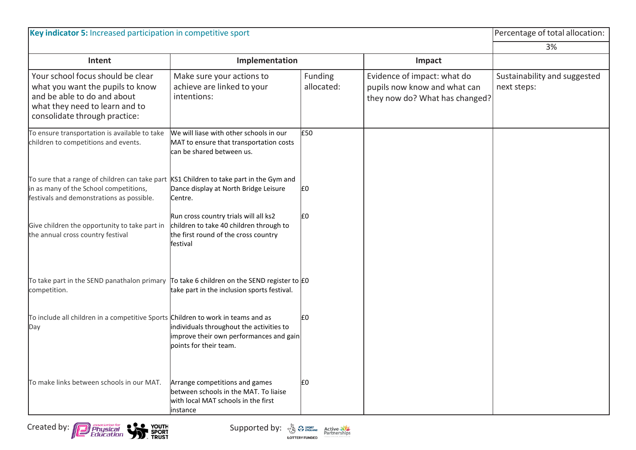| Key indicator 5: Increased participation in competitive sport                                                                                                           |                                                                                                                                      |                       |                                                                                               | Percentage of total allocation:             |
|-------------------------------------------------------------------------------------------------------------------------------------------------------------------------|--------------------------------------------------------------------------------------------------------------------------------------|-----------------------|-----------------------------------------------------------------------------------------------|---------------------------------------------|
|                                                                                                                                                                         |                                                                                                                                      |                       |                                                                                               | 3%                                          |
| Intent                                                                                                                                                                  | Implementation                                                                                                                       |                       | Impact                                                                                        |                                             |
| Your school focus should be clear<br>what you want the pupils to know<br>and be able to do and about<br>what they need to learn and to<br>consolidate through practice: | Make sure your actions to<br>achieve are linked to your<br>intentions:                                                               | Funding<br>allocated: | Evidence of impact: what do<br>pupils now know and what can<br>they now do? What has changed? | Sustainability and suggested<br>next steps: |
| To ensure transportation is available to take<br>children to competitions and events.                                                                                   | We will liase with other schools in our<br>MAT to ensure that transportation costs<br>can be shared between us.                      | £50                   |                                                                                               |                                             |
| To sure that a range of children can take part<br>in as many of the School competitions,<br>festivals and demonstrations as possible.                                   | KS1 Children to take part in the Gym and<br>Dance display at North Bridge Leisure<br>Centre.                                         | £٥                    |                                                                                               |                                             |
| Give children the opportunity to take part in<br>the annual cross country festival                                                                                      | Run cross country trials will all ks2<br>children to take 40 children through to<br>the first round of the cross country<br>festival | E <sub>0</sub>        |                                                                                               |                                             |
| To take part in the SEND panathalon primary To take 6 children on the SEND register to EO<br>competition.                                                               | take part in the inclusion sports festival.                                                                                          |                       |                                                                                               |                                             |
| To include all children in a competitive Sports Children to work in teams and as<br>Day                                                                                 | individuals throughout the activities to<br>improve their own performances and gain<br>points for their team.                        | £0                    |                                                                                               |                                             |
| To make links between schools in our MAT.                                                                                                                               | Arrange competitions and games<br>between schools in the MAT. To liaise<br>with local MAT schools in the first<br>instance           | £٥                    |                                                                                               |                                             |